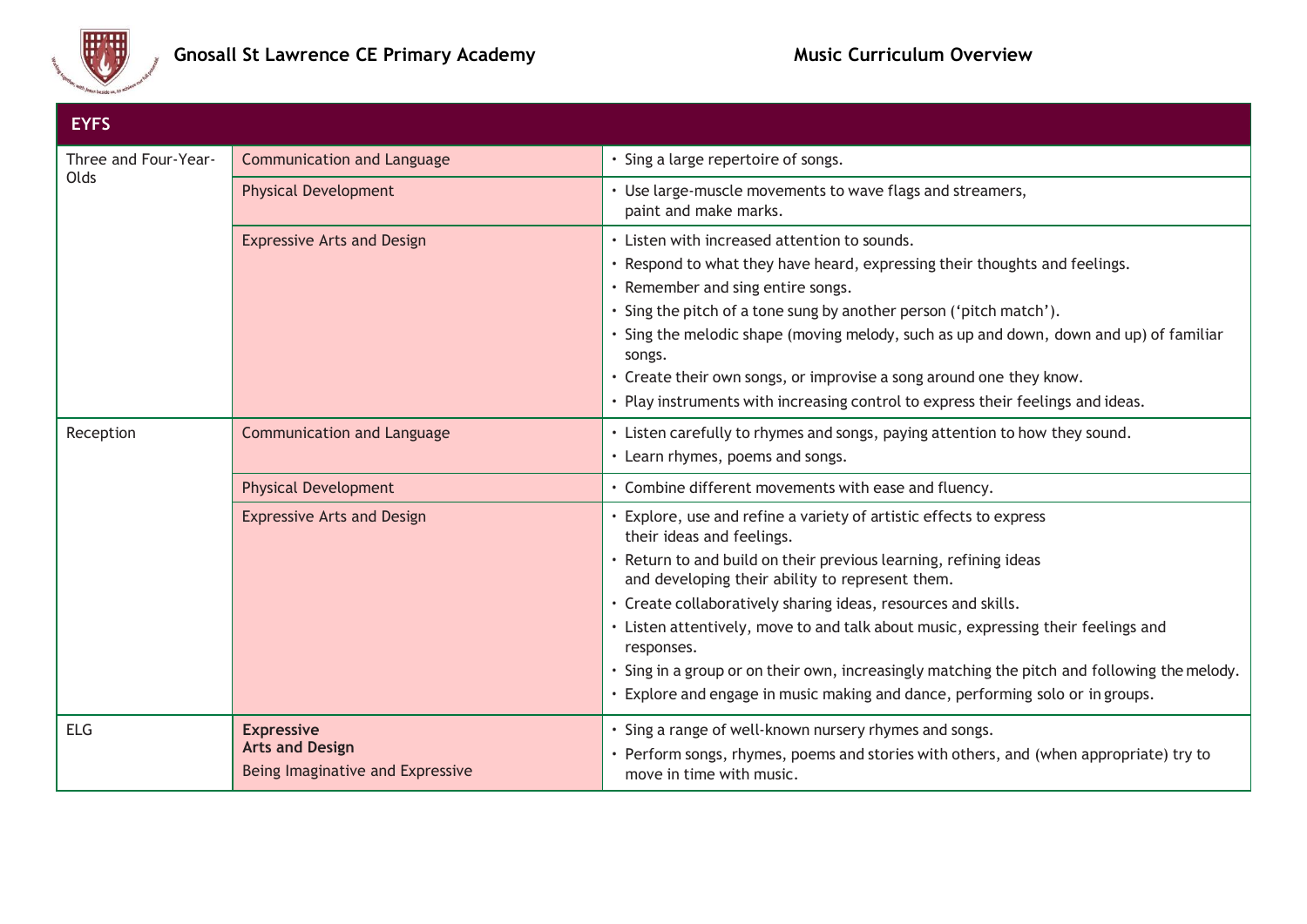

| <b>EYFS</b>          |                                                                                 |                                                                                                                                                                                                                                                                                                                                                                                                                                                                                                                                                                           |
|----------------------|---------------------------------------------------------------------------------|---------------------------------------------------------------------------------------------------------------------------------------------------------------------------------------------------------------------------------------------------------------------------------------------------------------------------------------------------------------------------------------------------------------------------------------------------------------------------------------------------------------------------------------------------------------------------|
| Three and Four-Year- | <b>Communication and Language</b>                                               | · Sing a large repertoire of songs.                                                                                                                                                                                                                                                                                                                                                                                                                                                                                                                                       |
| Olds                 | <b>Physical Development</b>                                                     | • Use large-muscle movements to wave flags and streamers,<br>paint and make marks.                                                                                                                                                                                                                                                                                                                                                                                                                                                                                        |
|                      | <b>Expressive Arts and Design</b>                                               | • Listen with increased attention to sounds.<br>. Respond to what they have heard, expressing their thoughts and feelings.<br>• Remember and sing entire songs.<br>· Sing the pitch of a tone sung by another person ('pitch match').<br>• Sing the melodic shape (moving melody, such as up and down, down and up) of familiar<br>songs.<br>• Create their own songs, or improvise a song around one they know.<br>· Play instruments with increasing control to express their feelings and ideas.                                                                       |
| Reception            | <b>Communication and Language</b>                                               | . Listen carefully to rhymes and songs, paying attention to how they sound.<br>• Learn rhymes, poems and songs.                                                                                                                                                                                                                                                                                                                                                                                                                                                           |
|                      | <b>Physical Development</b>                                                     | • Combine different movements with ease and fluency.                                                                                                                                                                                                                                                                                                                                                                                                                                                                                                                      |
|                      | <b>Expressive Arts and Design</b>                                               | Explore, use and refine a variety of artistic effects to express<br>their ideas and feelings.<br>• Return to and build on their previous learning, refining ideas<br>and developing their ability to represent them.<br>· Create collaboratively sharing ideas, resources and skills.<br>· Listen attentively, move to and talk about music, expressing their feelings and<br>responses.<br>· Sing in a group or on their own, increasingly matching the pitch and following the melody.<br>· Explore and engage in music making and dance, performing solo or in groups. |
| <b>ELG</b>           | <b>Expressive</b><br><b>Arts and Design</b><br>Being Imaginative and Expressive | · Sing a range of well-known nursery rhymes and songs.<br>• Perform songs, rhymes, poems and stories with others, and (when appropriate) try to<br>move in time with music.                                                                                                                                                                                                                                                                                                                                                                                               |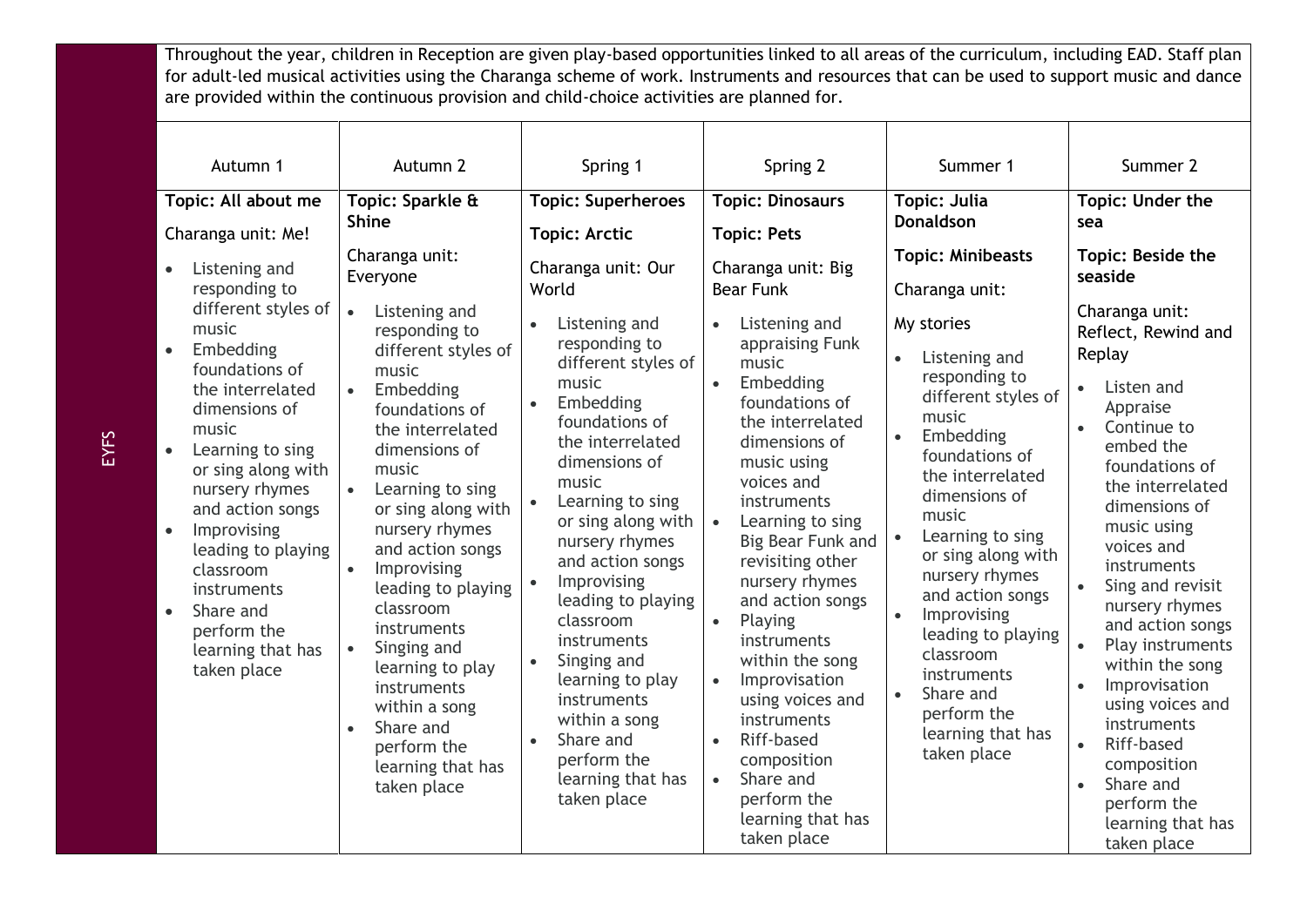Throughout the year, children in Reception are given play-based opportunities linked to all areas of the curriculum, including EAD. Staff plan for adult-led musical activities using the Charanga scheme of work. Instruments and resources that can be used to support music and dance are provided within the continuous provision and child-choice activities are planned for.

| Autumn 1                                                                                                                                                                                                                                                                                                                                                                                                         | Autumn 2                                                                                                                                                                                                                                                                                                                                                                                                                                                                                                                       | Spring 1                                                                                                                                                                                                                                                                                                                                                                                                                                                       | Spring 2                                                                                                                                                                                                                                                                                                                                                                                                                                                                                                                                                                                        | Summer 1                                                                                                                                                                                                                                                                                                                                                                                                                                                                     | Summer 2                                                                                                                                                                                                                                                                                                                                                                                                                                                                                                                                 |
|------------------------------------------------------------------------------------------------------------------------------------------------------------------------------------------------------------------------------------------------------------------------------------------------------------------------------------------------------------------------------------------------------------------|--------------------------------------------------------------------------------------------------------------------------------------------------------------------------------------------------------------------------------------------------------------------------------------------------------------------------------------------------------------------------------------------------------------------------------------------------------------------------------------------------------------------------------|----------------------------------------------------------------------------------------------------------------------------------------------------------------------------------------------------------------------------------------------------------------------------------------------------------------------------------------------------------------------------------------------------------------------------------------------------------------|-------------------------------------------------------------------------------------------------------------------------------------------------------------------------------------------------------------------------------------------------------------------------------------------------------------------------------------------------------------------------------------------------------------------------------------------------------------------------------------------------------------------------------------------------------------------------------------------------|------------------------------------------------------------------------------------------------------------------------------------------------------------------------------------------------------------------------------------------------------------------------------------------------------------------------------------------------------------------------------------------------------------------------------------------------------------------------------|------------------------------------------------------------------------------------------------------------------------------------------------------------------------------------------------------------------------------------------------------------------------------------------------------------------------------------------------------------------------------------------------------------------------------------------------------------------------------------------------------------------------------------------|
| Topic: All about me<br>Charanga unit: Me!                                                                                                                                                                                                                                                                                                                                                                        | Topic: Sparkle &<br><b>Shine</b>                                                                                                                                                                                                                                                                                                                                                                                                                                                                                               | <b>Topic: Superheroes</b><br><b>Topic: Arctic</b>                                                                                                                                                                                                                                                                                                                                                                                                              | <b>Topic: Dinosaurs</b><br><b>Topic: Pets</b>                                                                                                                                                                                                                                                                                                                                                                                                                                                                                                                                                   | <b>Topic: Julia</b><br><b>Donaldson</b>                                                                                                                                                                                                                                                                                                                                                                                                                                      | Topic: Under the<br>sea                                                                                                                                                                                                                                                                                                                                                                                                                                                                                                                  |
| Listening and<br>responding to<br>different styles of<br>music<br>Embedding<br>$\bullet$<br>foundations of<br>the interrelated<br>dimensions of<br>music<br>Learning to sing<br>$\bullet$<br>or sing along with<br>nursery rhymes<br>and action songs<br>Improvising<br>$\bullet$<br>leading to playing<br>classroom<br>instruments<br>Share and<br>$\bullet$<br>perform the<br>learning that has<br>taken place | Charanga unit:<br>Everyone<br>Listening and<br>$\bullet$<br>responding to<br>different styles of<br>music<br>Embedding<br>$\bullet$<br>foundations of<br>the interrelated<br>dimensions of<br>music<br>Learning to sing<br>or sing along with<br>nursery rhymes<br>and action songs<br>Improvising<br>$\bullet$<br>leading to playing<br>classroom<br>instruments<br>Singing and<br>$\bullet$<br>learning to play<br>instruments<br>within a song<br>Share and<br>$\bullet$<br>perform the<br>learning that has<br>taken place | Charanga unit: Our<br>World<br>Listening and<br>responding to<br>different styles of<br>music<br>Embedding<br>foundations of<br>the interrelated<br>dimensions of<br>music<br>Learning to sing<br>or sing along with<br>nursery rhymes<br>and action songs<br>Improvising<br>leading to playing<br>classroom<br>instruments<br>Singing and<br>learning to play<br>instruments<br>within a song<br>Share and<br>perform the<br>learning that has<br>taken place | Charanga unit: Big<br><b>Bear Funk</b><br>Listening and<br>$\bullet$<br>appraising Funk<br>music<br>Embedding<br>$\bullet$<br>foundations of<br>the interrelated<br>dimensions of<br>music using<br>voices and<br>instruments<br>Learning to sing<br>$\bullet$<br>Big Bear Funk and<br>revisiting other<br>nursery rhymes<br>and action songs<br>Playing<br>$\bullet$<br>instruments<br>within the song<br>Improvisation<br>$\bullet$<br>using voices and<br>instruments<br>Riff-based<br>$\bullet$<br>composition<br>Share and<br>$\bullet$<br>perform the<br>learning that has<br>taken place | <b>Topic: Minibeasts</b><br>Charanga unit:<br>My stories<br>Listening and<br>$\bullet$<br>responding to<br>different styles of<br>music<br>Embedding<br>$\bullet$<br>foundations of<br>the interrelated<br>dimensions of<br>music<br>Learning to sing<br>or sing along with<br>nursery rhymes<br>and action songs<br>Improvising<br>$\bullet$<br>leading to playing<br>classroom<br>instruments<br>Share and<br>$\bullet$<br>perform the<br>learning that has<br>taken place | <b>Topic: Beside the</b><br>seaside<br>Charanga unit:<br>Reflect, Rewind and<br>Replay<br>Listen and<br>Appraise<br>Continue to<br>embed the<br>foundations of<br>the interrelated<br>dimensions of<br>music using<br>voices and<br>instruments<br>Sing and revisit<br>nursery rhymes<br>and action songs<br>Play instruments<br>within the song<br>Improvisation<br>$\bullet$<br>using voices and<br>instruments<br>Riff-based<br>$\bullet$<br>composition<br>Share and<br>$\bullet$<br>perform the<br>learning that has<br>taken place |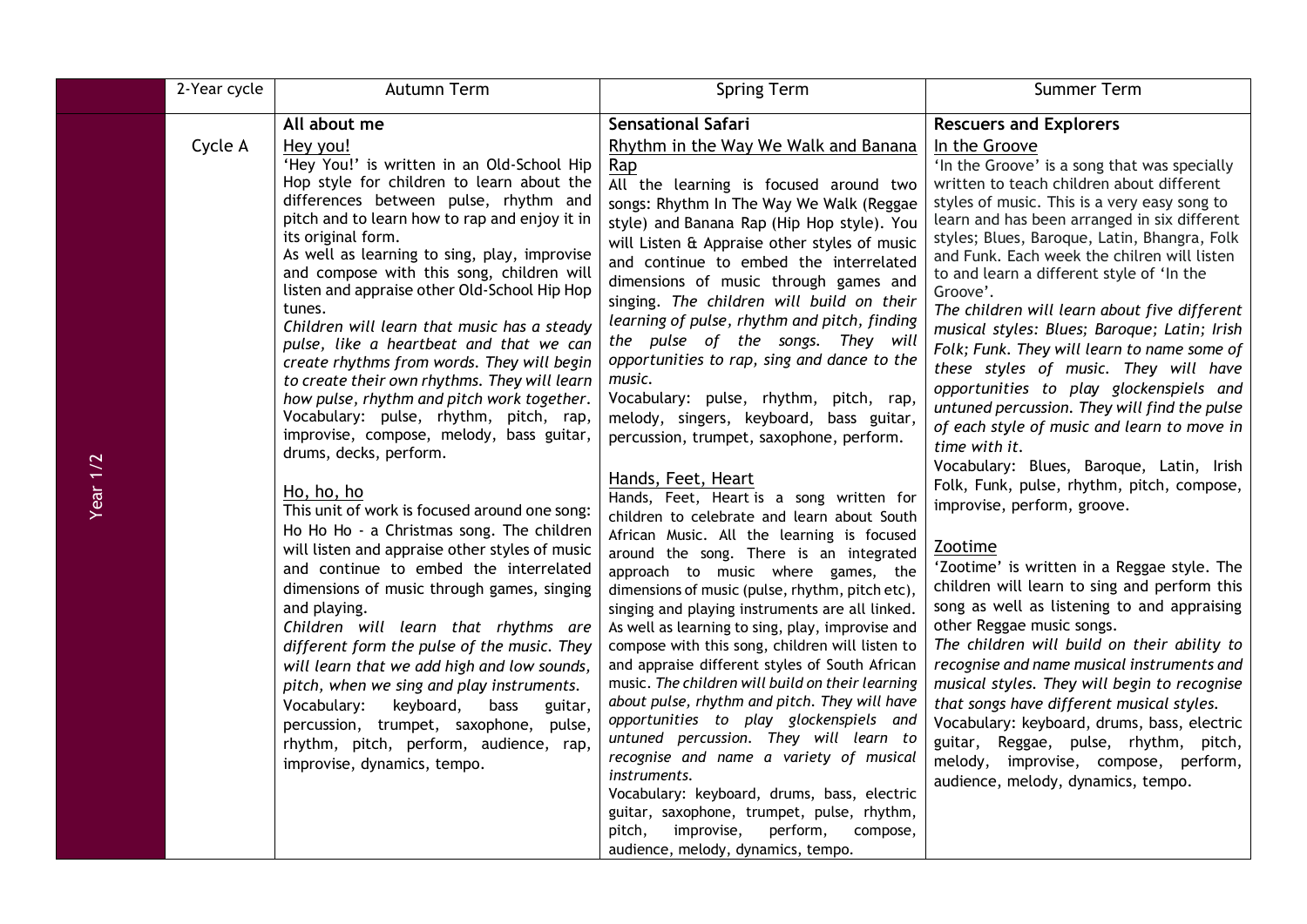|          | 2-Year cycle | Autumn Term                                                                                                                                                                                                                                                                                                                                                                                                                                                                                                                                                                                                                                                                                                                                                                                                                                                                                                                                                                                                                                                                                                                                                                                                                                                                                                                                                                        | <b>Spring Term</b>                                                                                                                                                                                                                                                                                                                                                                                                                                                                                                                                                                                                                                                                                                                                                                                                                                                                                                                                                                                                                                                                                                                                                                                                                                                                                                                                                                                                                                                                                                                                                                                                                 | Summer Term                                                                                                                                                                                                                                                                                                                                                                                                                                                                                                                                                                                                                                                                                                                                                                                                                                                                                                                                                                                                                                                                                                                                                                                                                                                                                                                                                                                                                           |
|----------|--------------|------------------------------------------------------------------------------------------------------------------------------------------------------------------------------------------------------------------------------------------------------------------------------------------------------------------------------------------------------------------------------------------------------------------------------------------------------------------------------------------------------------------------------------------------------------------------------------------------------------------------------------------------------------------------------------------------------------------------------------------------------------------------------------------------------------------------------------------------------------------------------------------------------------------------------------------------------------------------------------------------------------------------------------------------------------------------------------------------------------------------------------------------------------------------------------------------------------------------------------------------------------------------------------------------------------------------------------------------------------------------------------|------------------------------------------------------------------------------------------------------------------------------------------------------------------------------------------------------------------------------------------------------------------------------------------------------------------------------------------------------------------------------------------------------------------------------------------------------------------------------------------------------------------------------------------------------------------------------------------------------------------------------------------------------------------------------------------------------------------------------------------------------------------------------------------------------------------------------------------------------------------------------------------------------------------------------------------------------------------------------------------------------------------------------------------------------------------------------------------------------------------------------------------------------------------------------------------------------------------------------------------------------------------------------------------------------------------------------------------------------------------------------------------------------------------------------------------------------------------------------------------------------------------------------------------------------------------------------------------------------------------------------------|---------------------------------------------------------------------------------------------------------------------------------------------------------------------------------------------------------------------------------------------------------------------------------------------------------------------------------------------------------------------------------------------------------------------------------------------------------------------------------------------------------------------------------------------------------------------------------------------------------------------------------------------------------------------------------------------------------------------------------------------------------------------------------------------------------------------------------------------------------------------------------------------------------------------------------------------------------------------------------------------------------------------------------------------------------------------------------------------------------------------------------------------------------------------------------------------------------------------------------------------------------------------------------------------------------------------------------------------------------------------------------------------------------------------------------------|
| Year 1/2 | Cycle A      | All about me<br>Hey you!<br>'Hey You!' is written in an Old-School Hip<br>Hop style for children to learn about the<br>differences between pulse, rhythm and<br>pitch and to learn how to rap and enjoy it in<br>its original form.<br>As well as learning to sing, play, improvise<br>and compose with this song, children will<br>listen and appraise other Old-School Hip Hop<br>tunes.<br>Children will learn that music has a steady<br>pulse, like a heartbeat and that we can<br>create rhythms from words. They will begin<br>to create their own rhythms. They will learn<br>how pulse, rhythm and pitch work together.<br>Vocabulary: pulse, rhythm, pitch, rap,<br>improvise, compose, melody, bass guitar,<br>drums, decks, perform.<br>Ho, ho, ho<br>This unit of work is focused around one song:<br>Ho Ho Ho - a Christmas song. The children<br>will listen and appraise other styles of music<br>and continue to embed the interrelated<br>dimensions of music through games, singing<br>and playing.<br>Children will learn that rhythms are<br>different form the pulse of the music. They<br>will learn that we add high and low sounds,<br>pitch, when we sing and play instruments.<br>Vocabulary:<br>keyboard,<br><b>bass</b><br>guitar,<br>percussion, trumpet, saxophone, pulse,<br>rhythm, pitch, perform, audience, rap,<br>improvise, dynamics, tempo. | <b>Sensational Safari</b><br>Rhythm in the Way We Walk and Banana<br>Rap<br>All the learning is focused around two<br>songs: Rhythm In The Way We Walk (Reggae<br>style) and Banana Rap (Hip Hop style). You<br>will Listen & Appraise other styles of music<br>and continue to embed the interrelated<br>dimensions of music through games and<br>singing. The children will build on their<br>learning of pulse, rhythm and pitch, finding<br>the pulse of the songs. They will<br>opportunities to rap, sing and dance to the<br>music.<br>Vocabulary: pulse, rhythm, pitch, rap,<br>melody, singers, keyboard, bass guitar,<br>percussion, trumpet, saxophone, perform.<br>Hands, Feet, Heart<br>Hands, Feet, Heart is a song written for<br>children to celebrate and learn about South<br>African Music. All the learning is focused<br>around the song. There is an integrated<br>approach to music where games, the<br>dimensions of music (pulse, rhythm, pitch etc),<br>singing and playing instruments are all linked.<br>As well as learning to sing, play, improvise and<br>compose with this song, children will listen to<br>and appraise different styles of South African<br>music. The children will build on their learning<br>about pulse, rhythm and pitch. They will have<br>opportunities to play glockenspiels and<br>untuned percussion. They will learn to<br>recognise and name a variety of musical<br>instruments.<br>Vocabulary: keyboard, drums, bass, electric<br>guitar, saxophone, trumpet, pulse, rhythm,<br>perform,<br>pitch,<br>improvise,<br>compose,<br>audience, melody, dynamics, tempo. | <b>Rescuers and Explorers</b><br>In the Groove<br>'In the Groove' is a song that was specially<br>written to teach children about different<br>styles of music. This is a very easy song to<br>learn and has been arranged in six different<br>styles; Blues, Baroque, Latin, Bhangra, Folk<br>and Funk. Each week the chilren will listen<br>to and learn a different style of 'In the<br>Groove'.<br>The children will learn about five different<br>musical styles: Blues; Baroque; Latin; Irish<br>Folk; Funk. They will learn to name some of<br>these styles of music. They will have<br>opportunities to play glockenspiels and<br>untuned percussion. They will find the pulse<br>of each style of music and learn to move in<br>time with it.<br>Vocabulary: Blues, Baroque, Latin, Irish<br>Folk, Funk, pulse, rhythm, pitch, compose,<br>improvise, perform, groove.<br>Zootime<br>'Zootime' is written in a Reggae style. The<br>children will learn to sing and perform this<br>song as well as listening to and appraising<br>other Reggae music songs.<br>The children will build on their ability to<br>recognise and name musical instruments and<br>musical styles. They will begin to recognise<br>that songs have different musical styles.<br>Vocabulary: keyboard, drums, bass, electric<br>guitar, Reggae, pulse, rhythm, pitch,<br>melody, improvise, compose, perform,<br>audience, melody, dynamics, tempo. |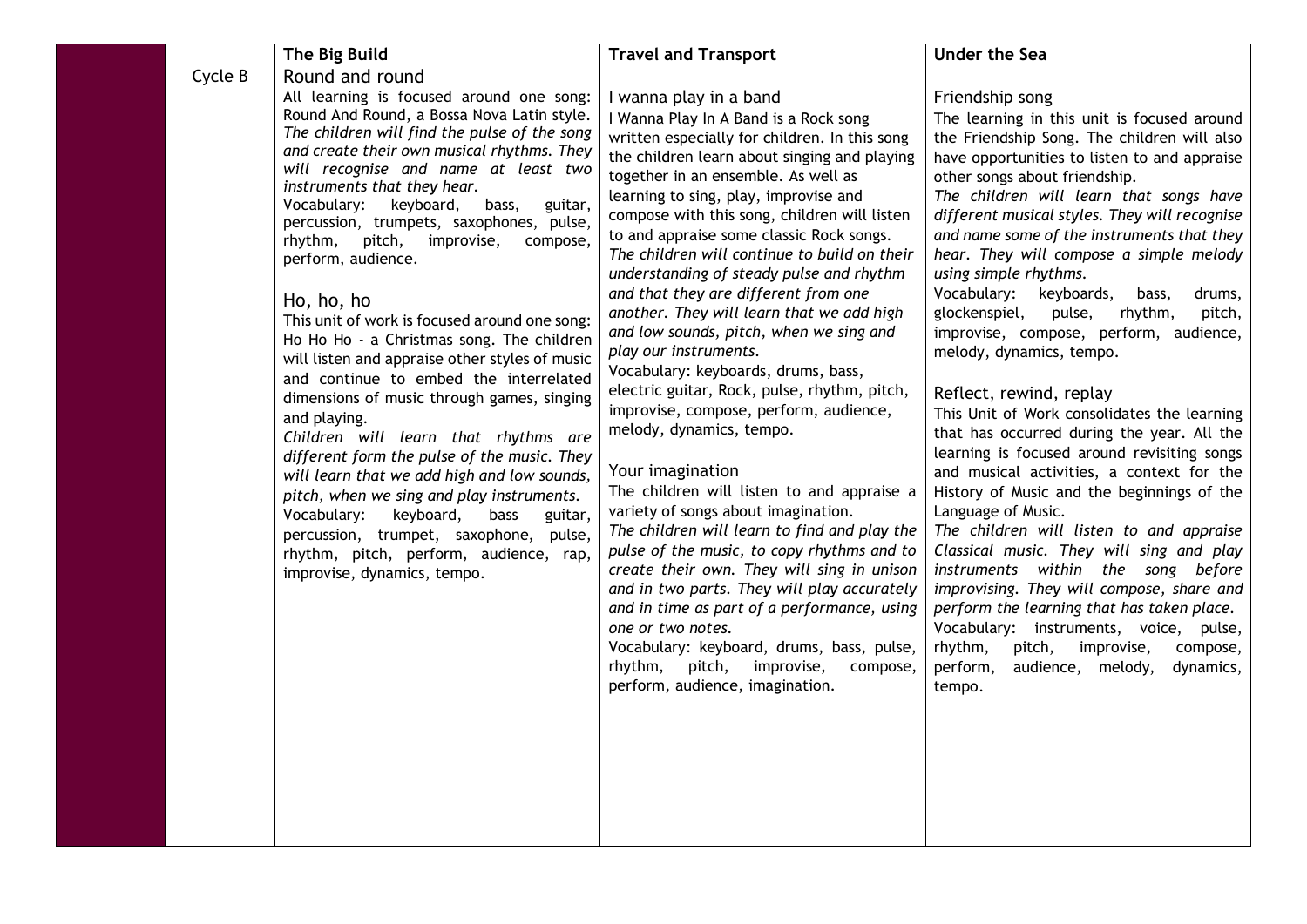|         | The Big Build                                                                                                                                                                                                                                                                                                                                                                                                                                                                                                                                                                                                                                                                                                                                                                                                                                                                                                                                                                                                                                                              | <b>Travel and Transport</b>                                                                                                                                                                                                                                                                                                                                                                                                                                                                                                                                                                                                                                                                                                                                                                                                                                                                                                                                                                                                                                                                                                                                                                                                                                           | <b>Under the Sea</b>                                                                                                                                                                                                                                                                                                                                                                                                                                                                                                                                                                                                                                                                                                                                                                                                                                                                                                                                                                                                                                                                                                                                                                                                                              |
|---------|----------------------------------------------------------------------------------------------------------------------------------------------------------------------------------------------------------------------------------------------------------------------------------------------------------------------------------------------------------------------------------------------------------------------------------------------------------------------------------------------------------------------------------------------------------------------------------------------------------------------------------------------------------------------------------------------------------------------------------------------------------------------------------------------------------------------------------------------------------------------------------------------------------------------------------------------------------------------------------------------------------------------------------------------------------------------------|-----------------------------------------------------------------------------------------------------------------------------------------------------------------------------------------------------------------------------------------------------------------------------------------------------------------------------------------------------------------------------------------------------------------------------------------------------------------------------------------------------------------------------------------------------------------------------------------------------------------------------------------------------------------------------------------------------------------------------------------------------------------------------------------------------------------------------------------------------------------------------------------------------------------------------------------------------------------------------------------------------------------------------------------------------------------------------------------------------------------------------------------------------------------------------------------------------------------------------------------------------------------------|---------------------------------------------------------------------------------------------------------------------------------------------------------------------------------------------------------------------------------------------------------------------------------------------------------------------------------------------------------------------------------------------------------------------------------------------------------------------------------------------------------------------------------------------------------------------------------------------------------------------------------------------------------------------------------------------------------------------------------------------------------------------------------------------------------------------------------------------------------------------------------------------------------------------------------------------------------------------------------------------------------------------------------------------------------------------------------------------------------------------------------------------------------------------------------------------------------------------------------------------------|
| Cycle B | Round and round<br>All learning is focused around one song:<br>Round And Round, a Bossa Nova Latin style.<br>The children will find the pulse of the song<br>and create their own musical rhythms. They<br>will recognise and name at least two<br>instruments that they hear.<br>Vocabulary:<br>keyboard,<br>guitar,<br>bass,<br>percussion, trumpets, saxophones, pulse,<br>rhythm,<br>pitch,<br>improvise,<br>compose,<br>perform, audience.<br>Ho, ho, ho<br>This unit of work is focused around one song:<br>Ho Ho Ho - a Christmas song. The children<br>will listen and appraise other styles of music<br>and continue to embed the interrelated<br>dimensions of music through games, singing<br>and playing.<br>Children will learn that rhythms are<br>different form the pulse of the music. They<br>will learn that we add high and low sounds,<br>pitch, when we sing and play instruments.<br>Vocabulary:<br>keyboard,<br>bass<br>guitar,<br>percussion, trumpet, saxophone, pulse,<br>rhythm, pitch, perform, audience, rap,<br>improvise, dynamics, tempo. | I wanna play in a band<br>I Wanna Play In A Band is a Rock song<br>written especially for children. In this song<br>the children learn about singing and playing<br>together in an ensemble. As well as<br>learning to sing, play, improvise and<br>compose with this song, children will listen<br>to and appraise some classic Rock songs.<br>The children will continue to build on their<br>understanding of steady pulse and rhythm<br>and that they are different from one<br>another. They will learn that we add high<br>and low sounds, pitch, when we sing and<br>play our instruments.<br>Vocabulary: keyboards, drums, bass,<br>electric guitar, Rock, pulse, rhythm, pitch,<br>improvise, compose, perform, audience,<br>melody, dynamics, tempo.<br>Your imagination<br>The children will listen to and appraise a<br>variety of songs about imagination.<br>The children will learn to find and play the<br>pulse of the music, to copy rhythms and to<br>create their own. They will sing in unison<br>and in two parts. They will play accurately<br>and in time as part of a performance, using<br>one or two notes.<br>Vocabulary: keyboard, drums, bass, pulse,<br>rhythm,<br>pitch,<br>improvise,<br>compose,<br>perform, audience, imagination. | Friendship song<br>The learning in this unit is focused around<br>the Friendship Song. The children will also<br>have opportunities to listen to and appraise<br>other songs about friendship.<br>The children will learn that songs have<br>different musical styles. They will recognise<br>and name some of the instruments that they<br>hear. They will compose a simple melody<br>using simple rhythms.<br>Vocabulary: keyboards,<br>drums,<br>bass,<br>glockenspiel,<br>pulse,<br>rhythm,<br>pitch,<br>improvise, compose, perform, audience,<br>melody, dynamics, tempo.<br>Reflect, rewind, replay<br>This Unit of Work consolidates the learning<br>that has occurred during the year. All the<br>learning is focused around revisiting songs<br>and musical activities, a context for the<br>History of Music and the beginnings of the<br>Language of Music.<br>The children will listen to and appraise<br>Classical music. They will sing and play<br>instruments within the song before<br>improvising. They will compose, share and<br>perform the learning that has taken place.<br>Vocabulary: instruments, voice, pulse,<br>rhythm,<br>pitch,<br>improvise,<br>compose,<br>perform,<br>audience, melody,<br>dynamics,<br>tempo. |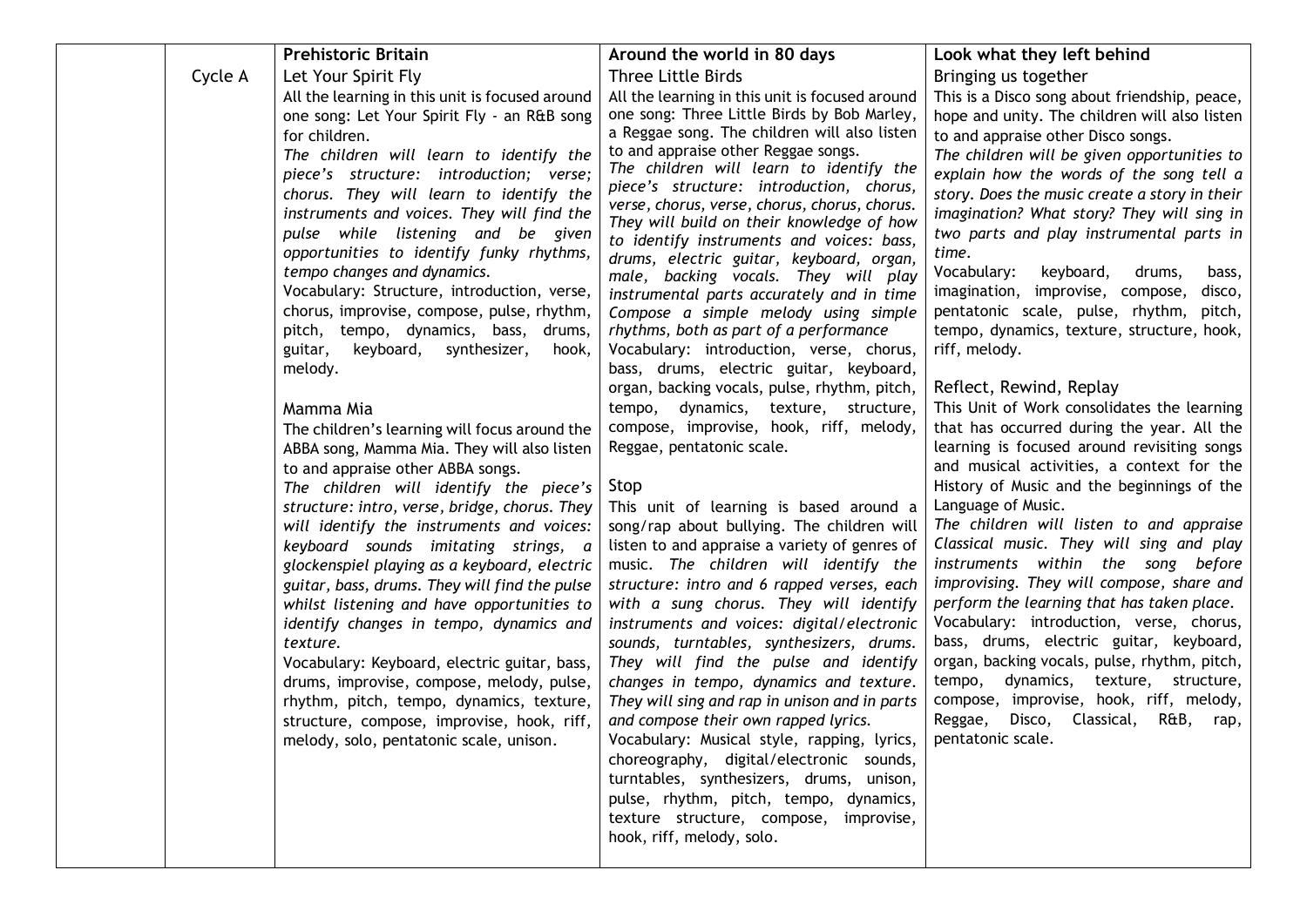| Cycle A | <b>Prehistoric Britain</b><br>Let Your Spirit Fly<br>All the learning in this unit is focused around<br>one song: Let Your Spirit Fly - an R&B song<br>for children.<br>The children will learn to identify the<br>piece's structure: introduction; verse;<br>chorus. They will learn to identify the<br>instruments and voices. They will find the<br>pulse while listening and be given<br>opportunities to identify funky rhythms,<br>tempo changes and dynamics.<br>Vocabulary: Structure, introduction, verse,<br>chorus, improvise, compose, pulse, rhythm,<br>pitch, tempo, dynamics, bass, drums,<br>guitar,<br>synthesizer,<br>keyboard,<br>hook,<br>melody.<br>Mamma Mia<br>The children's learning will focus around the<br>ABBA song, Mamma Mia. They will also listen<br>to and appraise other ABBA songs.<br>The children will identify the piece's<br>structure: intro, verse, bridge, chorus. They<br>will identify the instruments and voices:<br>keyboard sounds imitating strings, a<br>glockenspiel playing as a keyboard, electric<br>guitar, bass, drums. They will find the pulse<br>whilst listening and have opportunities to<br>identify changes in tempo, dynamics and<br>texture.<br>Vocabulary: Keyboard, electric guitar, bass,<br>drums, improvise, compose, melody, pulse,<br>rhythm, pitch, tempo, dynamics, texture,<br>structure, compose, improvise, hook, riff,<br>melody, solo, pentatonic scale, unison. | Around the world in 80 days<br>Three Little Birds<br>All the learning in this unit is focused around<br>one song: Three Little Birds by Bob Marley,<br>a Reggae song. The children will also listen<br>to and appraise other Reggae songs.<br>The children will learn to identify the<br>piece's structure: introduction, chorus,<br>verse, chorus, verse, chorus, chorus, chorus.<br>They will build on their knowledge of how<br>to identify instruments and voices: bass,<br>drums, electric guitar, keyboard, organ,<br>male, backing vocals. They will play<br>instrumental parts accurately and in time<br>Compose a simple melody using simple<br>rhythms, both as part of a performance<br>Vocabulary: introduction, verse, chorus,<br>bass, drums, electric guitar, keyboard,<br>organ, backing vocals, pulse, rhythm, pitch,<br>tempo, dynamics, texture, structure,<br>compose, improvise, hook, riff, melody,<br>Reggae, pentatonic scale.<br>Stop<br>This unit of learning is based around a<br>song/rap about bullying. The children will<br>listen to and appraise a variety of genres of<br>music. The children will identify the<br>structure: intro and 6 rapped verses, each<br>with a sung chorus. They will identify<br>instruments and voices: digital/electronic<br>sounds, turntables, synthesizers, drums.<br>They will find the pulse and identify<br>changes in tempo, dynamics and texture.<br>They will sing and rap in unison and in parts<br>and compose their own rapped lyrics.<br>Vocabulary: Musical style, rapping, lyrics,<br>choreography, digital/electronic sounds,<br>turntables, synthesizers, drums, unison,<br>pulse, rhythm, pitch, tempo, dynamics,<br>texture structure, compose, improvise,<br>hook, riff, melody, solo. | Look what they left behind<br>Bringing us together<br>This is a Disco song about friendship, peace,<br>hope and unity. The children will also listen<br>to and appraise other Disco songs.<br>The children will be given opportunities to<br>explain how the words of the song tell a<br>story. Does the music create a story in their<br>imagination? What story? They will sing in<br>two parts and play instrumental parts in<br>time.<br>Vocabulary:<br>keyboard,<br>drums,<br>bass,<br>imagination, improvise, compose,<br>disco,<br>pentatonic scale, pulse, rhythm, pitch,<br>tempo, dynamics, texture, structure, hook,<br>riff, melody.<br>Reflect, Rewind, Replay<br>This Unit of Work consolidates the learning<br>that has occurred during the year. All the<br>learning is focused around revisiting songs<br>and musical activities, a context for the<br>History of Music and the beginnings of the<br>Language of Music.<br>The children will listen to and appraise<br>Classical music. They will sing and play<br>instruments within the song before<br>improvising. They will compose, share and<br>perform the learning that has taken place.<br>Vocabulary: introduction, verse, chorus,<br>bass, drums, electric guitar, keyboard,<br>organ, backing vocals, pulse, rhythm, pitch,<br>dynamics, texture, structure,<br>tempo,<br>compose, improvise, hook, riff, melody,<br>Disco, Classical, R&B, rap,<br>Reggae,<br>pentatonic scale. |
|---------|-------------------------------------------------------------------------------------------------------------------------------------------------------------------------------------------------------------------------------------------------------------------------------------------------------------------------------------------------------------------------------------------------------------------------------------------------------------------------------------------------------------------------------------------------------------------------------------------------------------------------------------------------------------------------------------------------------------------------------------------------------------------------------------------------------------------------------------------------------------------------------------------------------------------------------------------------------------------------------------------------------------------------------------------------------------------------------------------------------------------------------------------------------------------------------------------------------------------------------------------------------------------------------------------------------------------------------------------------------------------------------------------------------------------------------------------------|--------------------------------------------------------------------------------------------------------------------------------------------------------------------------------------------------------------------------------------------------------------------------------------------------------------------------------------------------------------------------------------------------------------------------------------------------------------------------------------------------------------------------------------------------------------------------------------------------------------------------------------------------------------------------------------------------------------------------------------------------------------------------------------------------------------------------------------------------------------------------------------------------------------------------------------------------------------------------------------------------------------------------------------------------------------------------------------------------------------------------------------------------------------------------------------------------------------------------------------------------------------------------------------------------------------------------------------------------------------------------------------------------------------------------------------------------------------------------------------------------------------------------------------------------------------------------------------------------------------------------------------------------------------------------------------------------------------------------------------------------------------------------|---------------------------------------------------------------------------------------------------------------------------------------------------------------------------------------------------------------------------------------------------------------------------------------------------------------------------------------------------------------------------------------------------------------------------------------------------------------------------------------------------------------------------------------------------------------------------------------------------------------------------------------------------------------------------------------------------------------------------------------------------------------------------------------------------------------------------------------------------------------------------------------------------------------------------------------------------------------------------------------------------------------------------------------------------------------------------------------------------------------------------------------------------------------------------------------------------------------------------------------------------------------------------------------------------------------------------------------------------------------------------------------------------------------------------------------------------------------|
|---------|-------------------------------------------------------------------------------------------------------------------------------------------------------------------------------------------------------------------------------------------------------------------------------------------------------------------------------------------------------------------------------------------------------------------------------------------------------------------------------------------------------------------------------------------------------------------------------------------------------------------------------------------------------------------------------------------------------------------------------------------------------------------------------------------------------------------------------------------------------------------------------------------------------------------------------------------------------------------------------------------------------------------------------------------------------------------------------------------------------------------------------------------------------------------------------------------------------------------------------------------------------------------------------------------------------------------------------------------------------------------------------------------------------------------------------------------------|--------------------------------------------------------------------------------------------------------------------------------------------------------------------------------------------------------------------------------------------------------------------------------------------------------------------------------------------------------------------------------------------------------------------------------------------------------------------------------------------------------------------------------------------------------------------------------------------------------------------------------------------------------------------------------------------------------------------------------------------------------------------------------------------------------------------------------------------------------------------------------------------------------------------------------------------------------------------------------------------------------------------------------------------------------------------------------------------------------------------------------------------------------------------------------------------------------------------------------------------------------------------------------------------------------------------------------------------------------------------------------------------------------------------------------------------------------------------------------------------------------------------------------------------------------------------------------------------------------------------------------------------------------------------------------------------------------------------------------------------------------------------------|---------------------------------------------------------------------------------------------------------------------------------------------------------------------------------------------------------------------------------------------------------------------------------------------------------------------------------------------------------------------------------------------------------------------------------------------------------------------------------------------------------------------------------------------------------------------------------------------------------------------------------------------------------------------------------------------------------------------------------------------------------------------------------------------------------------------------------------------------------------------------------------------------------------------------------------------------------------------------------------------------------------------------------------------------------------------------------------------------------------------------------------------------------------------------------------------------------------------------------------------------------------------------------------------------------------------------------------------------------------------------------------------------------------------------------------------------------------|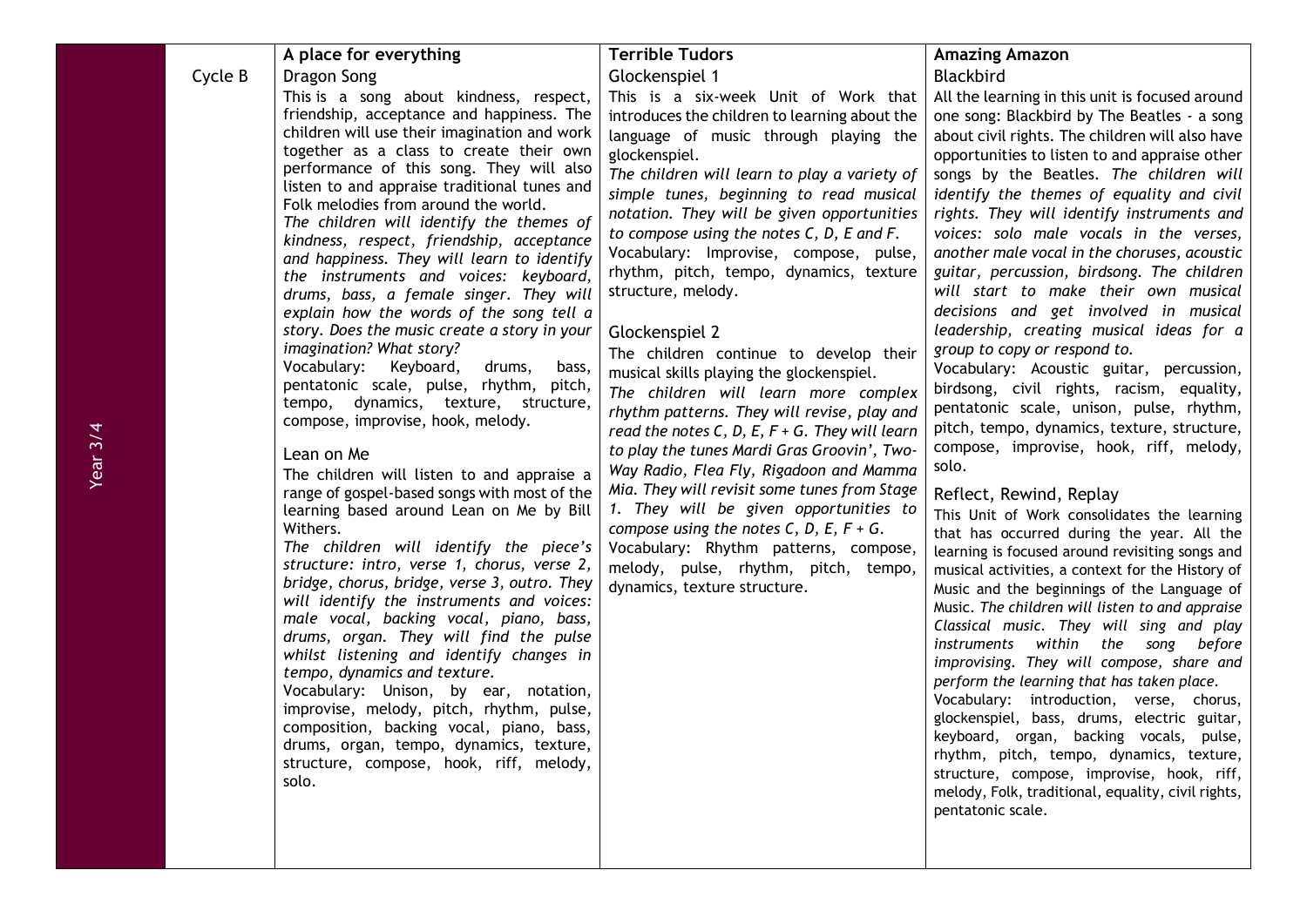|         | A place for everything                                                                      | <b>Terrible Tudors</b>                               | <b>Amazing Amazon</b>                                                                   |
|---------|---------------------------------------------------------------------------------------------|------------------------------------------------------|-----------------------------------------------------------------------------------------|
| Cycle B | Dragon Song                                                                                 | Glockenspiel 1                                       | <b>Blackbird</b>                                                                        |
|         | This is a song about kindness, respect,                                                     | This is a six-week Unit of Work that                 | All the learning in this unit is focused around                                         |
|         | friendship, acceptance and happiness. The                                                   | introduces the children to learning about the        | one song: Blackbird by The Beatles - a song                                             |
|         | children will use their imagination and work                                                | language of music through playing the                | about civil rights. The children will also have                                         |
|         | together as a class to create their own                                                     | glockenspiel.                                        | opportunities to listen to and appraise other                                           |
|         | performance of this song. They will also<br>listen to and appraise traditional tunes and    | The children will learn to play a variety of         | songs by the Beatles. The children will                                                 |
|         | Folk melodies from around the world.                                                        | simple tunes, beginning to read musical              | identify the themes of equality and civil                                               |
|         | The children will identify the themes of                                                    | notation. They will be given opportunities           | rights. They will identify instruments and                                              |
|         | kindness, respect, friendship, acceptance                                                   | to compose using the notes $C$ , $D$ , $E$ and $F$ . | voices: solo male vocals in the verses,                                                 |
|         | and happiness. They will learn to identify                                                  | Vocabulary: Improvise, compose, pulse,               | another male vocal in the choruses, acoustic                                            |
|         | the instruments and voices: keyboard,                                                       | rhythm, pitch, tempo, dynamics, texture              | guitar, percussion, birdsong. The children                                              |
|         | drums, bass, a female singer. They will                                                     | structure, melody.                                   | will start to make their own musical                                                    |
|         | explain how the words of the song tell a                                                    |                                                      | decisions and get involved in musical                                                   |
|         | story. Does the music create a story in your                                                | Glockenspiel 2                                       | leadership, creating musical ideas for a                                                |
|         | imagination? What story?                                                                    | The children continue to develop their               | group to copy or respond to.                                                            |
|         | Vocabulary:<br>Keyboard,<br>drums,<br>bass,<br>pentatonic scale, pulse, rhythm, pitch,      | musical skills playing the glockenspiel.             | Vocabulary: Acoustic guitar, percussion,                                                |
|         | tempo, dynamics, texture, structure,                                                        | The children will learn more complex                 | birdsong, civil rights, racism, equality,                                               |
|         | compose, improvise, hook, melody.                                                           | rhythm patterns. They will revise, play and          | pentatonic scale, unison, pulse, rhythm,                                                |
|         |                                                                                             | read the notes $C, D, E, F + G$ . They will learn    | pitch, tempo, dynamics, texture, structure,                                             |
|         | Lean on Me                                                                                  | to play the tunes Mardi Gras Groovin', Two-          | compose, improvise, hook, riff, melody,                                                 |
|         | The children will listen to and appraise a                                                  | Way Radio, Flea Fly, Rigadoon and Mamma              | solo.                                                                                   |
|         | range of gospel-based songs with most of the                                                | Mia. They will revisit some tunes from Stage         | Reflect, Rewind, Replay                                                                 |
|         | learning based around Lean on Me by Bill                                                    | 1. They will be given opportunities to               | This Unit of Work consolidates the learning                                             |
|         | Withers.                                                                                    | compose using the notes C, D, E, $F + G$ .           | that has occurred during the year. All the                                              |
|         | The children will identify the piece's                                                      | Vocabulary: Rhythm patterns, compose,                | learning is focused around revisiting songs and                                         |
|         | structure: intro, verse 1, chorus, verse 2,<br>bridge, chorus, bridge, verse 3, outro. They | melody, pulse, rhythm, pitch, tempo,                 | musical activities, a context for the History of                                        |
|         | will identify the instruments and voices:                                                   | dynamics, texture structure.                         | Music and the beginnings of the Language of                                             |
|         | male vocal, backing vocal, piano, bass,                                                     |                                                      | Music. The children will listen to and appraise                                         |
|         | drums, organ. They will find the pulse                                                      |                                                      | Classical music. They will sing and play                                                |
|         | whilst listening and identify changes in                                                    |                                                      | within the song before<br>instruments                                                   |
|         | tempo, dynamics and texture.                                                                |                                                      | improvising. They will compose, share and                                               |
|         | Vocabulary: Unison, by ear, notation,                                                       |                                                      | perform the learning that has taken place.                                              |
|         | improvise, melody, pitch, rhythm, pulse,                                                    |                                                      | Vocabulary: introduction, verse, chorus,<br>glockenspiel, bass, drums, electric guitar, |
|         | composition, backing vocal, piano, bass,                                                    |                                                      | keyboard, organ, backing vocals, pulse,                                                 |
|         | drums, organ, tempo, dynamics, texture,                                                     |                                                      | rhythm, pitch, tempo, dynamics, texture,                                                |
|         | structure, compose, hook, riff, melody,                                                     |                                                      | structure, compose, improvise, hook, riff,                                              |
|         | solo.                                                                                       |                                                      | melody, Folk, traditional, equality, civil rights,                                      |
|         |                                                                                             |                                                      | pentatonic scale.                                                                       |
|         |                                                                                             |                                                      |                                                                                         |
|         |                                                                                             |                                                      |                                                                                         |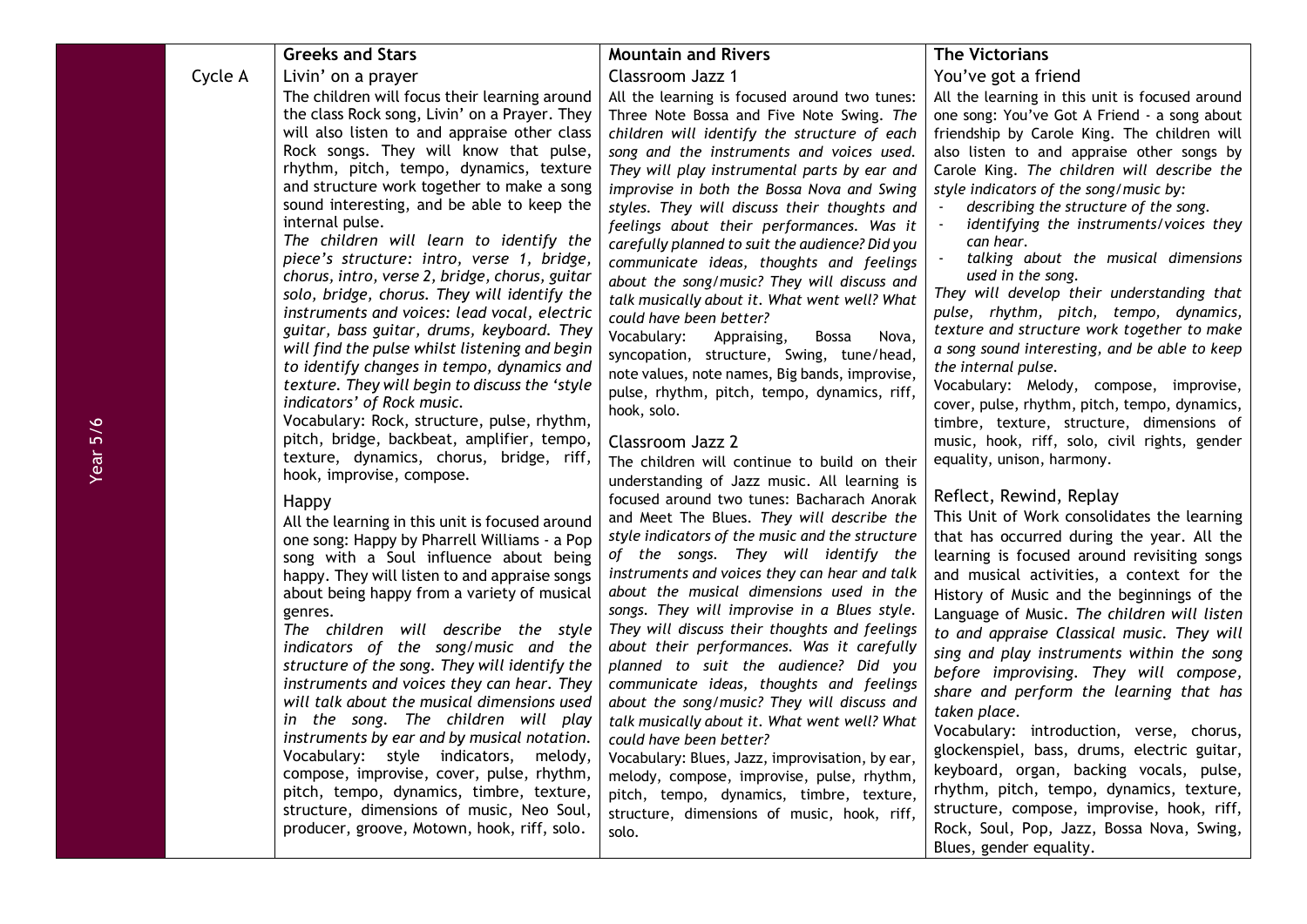|         | <b>Greeks and Stars</b>                                                                         | <b>Mountain and Rivers</b>                                                                   | <b>The Victorians</b>                                                                      |
|---------|-------------------------------------------------------------------------------------------------|----------------------------------------------------------------------------------------------|--------------------------------------------------------------------------------------------|
| Cycle A | Livin' on a prayer                                                                              | Classroom Jazz 1                                                                             | You've got a friend                                                                        |
|         | The children will focus their learning around                                                   | All the learning is focused around two tunes:                                                | All the learning in this unit is focused around                                            |
|         | the class Rock song, Livin' on a Prayer. They                                                   | Three Note Bossa and Five Note Swing. The                                                    | one song: You've Got A Friend - a song about                                               |
|         | will also listen to and appraise other class                                                    | children will identify the structure of each                                                 | friendship by Carole King. The children will                                               |
|         | Rock songs. They will know that pulse,                                                          | song and the instruments and voices used.                                                    | also listen to and appraise other songs by                                                 |
|         | rhythm, pitch, tempo, dynamics, texture                                                         | They will play instrumental parts by ear and                                                 | Carole King. The children will describe the                                                |
|         | and structure work together to make a song                                                      | improvise in both the Bossa Nova and Swing                                                   | style indicators of the song/music by:                                                     |
|         | sound interesting, and be able to keep the                                                      | styles. They will discuss their thoughts and                                                 | describing the structure of the song.                                                      |
|         | internal pulse.<br>The children will learn to identify the                                      | feelings about their performances. Was it                                                    | identifying the instruments/voices they<br>can hear.                                       |
|         | piece's structure: intro, verse 1, bridge,                                                      | carefully planned to suit the audience? Did you                                              | talking about the musical dimensions                                                       |
|         | chorus, intro, verse 2, bridge, chorus, guitar                                                  | communicate ideas, thoughts and feelings<br>about the song/music? They will discuss and      | used in the song.                                                                          |
|         | solo, bridge, chorus. They will identify the                                                    | talk musically about it. What went well? What                                                | They will develop their understanding that                                                 |
|         | instruments and voices: lead vocal, electric                                                    | could have been better?                                                                      | pulse, rhythm, pitch, tempo, dynamics,                                                     |
|         | guitar, bass guitar, drums, keyboard. They                                                      | Vocabulary:<br>Appraising,<br><b>Bossa</b><br>Nova,                                          | texture and structure work together to make                                                |
|         | will find the pulse whilst listening and begin                                                  | syncopation, structure, Swing, tune/head,                                                    | a song sound interesting, and be able to keep                                              |
|         | to identify changes in tempo, dynamics and                                                      | note values, note names, Big bands, improvise,                                               | the internal pulse.                                                                        |
|         | texture. They will begin to discuss the 'style                                                  | pulse, rhythm, pitch, tempo, dynamics, riff,                                                 | Vocabulary: Melody, compose, improvise,                                                    |
|         | indicators' of Rock music.<br>Vocabulary: Rock, structure, pulse, rhythm,                       | hook, solo.                                                                                  | cover, pulse, rhythm, pitch, tempo, dynamics,                                              |
|         | pitch, bridge, backbeat, amplifier, tempo,                                                      | Classroom Jazz 2                                                                             | timbre, texture, structure, dimensions of<br>music, hook, riff, solo, civil rights, gender |
|         | texture, dynamics, chorus, bridge, riff,                                                        |                                                                                              | equality, unison, harmony.                                                                 |
|         | hook, improvise, compose.                                                                       | The children will continue to build on their<br>understanding of Jazz music. All learning is |                                                                                            |
|         |                                                                                                 | focused around two tunes: Bacharach Anorak                                                   | Reflect, Rewind, Replay                                                                    |
|         | Happy                                                                                           | and Meet The Blues. They will describe the                                                   | This Unit of Work consolidates the learning                                                |
|         | All the learning in this unit is focused around<br>one song: Happy by Pharrell Williams - a Pop | style indicators of the music and the structure                                              | that has occurred during the year. All the                                                 |
|         | song with a Soul influence about being                                                          | of the songs. They will identify the                                                         | learning is focused around revisiting songs                                                |
|         | happy. They will listen to and appraise songs                                                   | instruments and voices they can hear and talk                                                | and musical activities, a context for the                                                  |
|         | about being happy from a variety of musical                                                     | about the musical dimensions used in the                                                     | History of Music and the beginnings of the                                                 |
|         | genres.                                                                                         | songs. They will improvise in a Blues style.                                                 | Language of Music. The children will listen                                                |
|         | The children will describe the style                                                            | They will discuss their thoughts and feelings                                                | to and appraise Classical music. They will                                                 |
|         | indicators of the song/music and the                                                            | about their performances. Was it carefully                                                   | sing and play instruments within the song                                                  |
|         | structure of the song. They will identify the                                                   | planned to suit the audience? Did you                                                        | before improvising. They will compose,                                                     |
|         | instruments and voices they can hear. They                                                      | communicate ideas, thoughts and feelings                                                     | share and perform the learning that has                                                    |
|         | will talk about the musical dimensions used                                                     | about the song/music? They will discuss and                                                  | taken place.                                                                               |
|         | in the song. The children will play<br>instruments by ear and by musical notation.              | talk musically about it. What went well? What<br>could have been better?                     | Vocabulary: introduction, verse, chorus,                                                   |
|         | Vocabulary: style indicators, melody,                                                           | Vocabulary: Blues, Jazz, improvisation, by ear,                                              | glockenspiel, bass, drums, electric guitar,                                                |
|         | compose, improvise, cover, pulse, rhythm,                                                       | melody, compose, improvise, pulse, rhythm,                                                   | keyboard, organ, backing vocals, pulse,                                                    |
|         | pitch, tempo, dynamics, timbre, texture,                                                        | pitch, tempo, dynamics, timbre, texture,                                                     | rhythm, pitch, tempo, dynamics, texture,                                                   |
|         | structure, dimensions of music, Neo Soul,                                                       | structure, dimensions of music, hook, riff,                                                  | structure, compose, improvise, hook, riff,                                                 |
|         | producer, groove, Motown, hook, riff, solo.                                                     | solo.                                                                                        | Rock, Soul, Pop, Jazz, Bossa Nova, Swing,                                                  |
|         |                                                                                                 |                                                                                              | Blues, gender equality.                                                                    |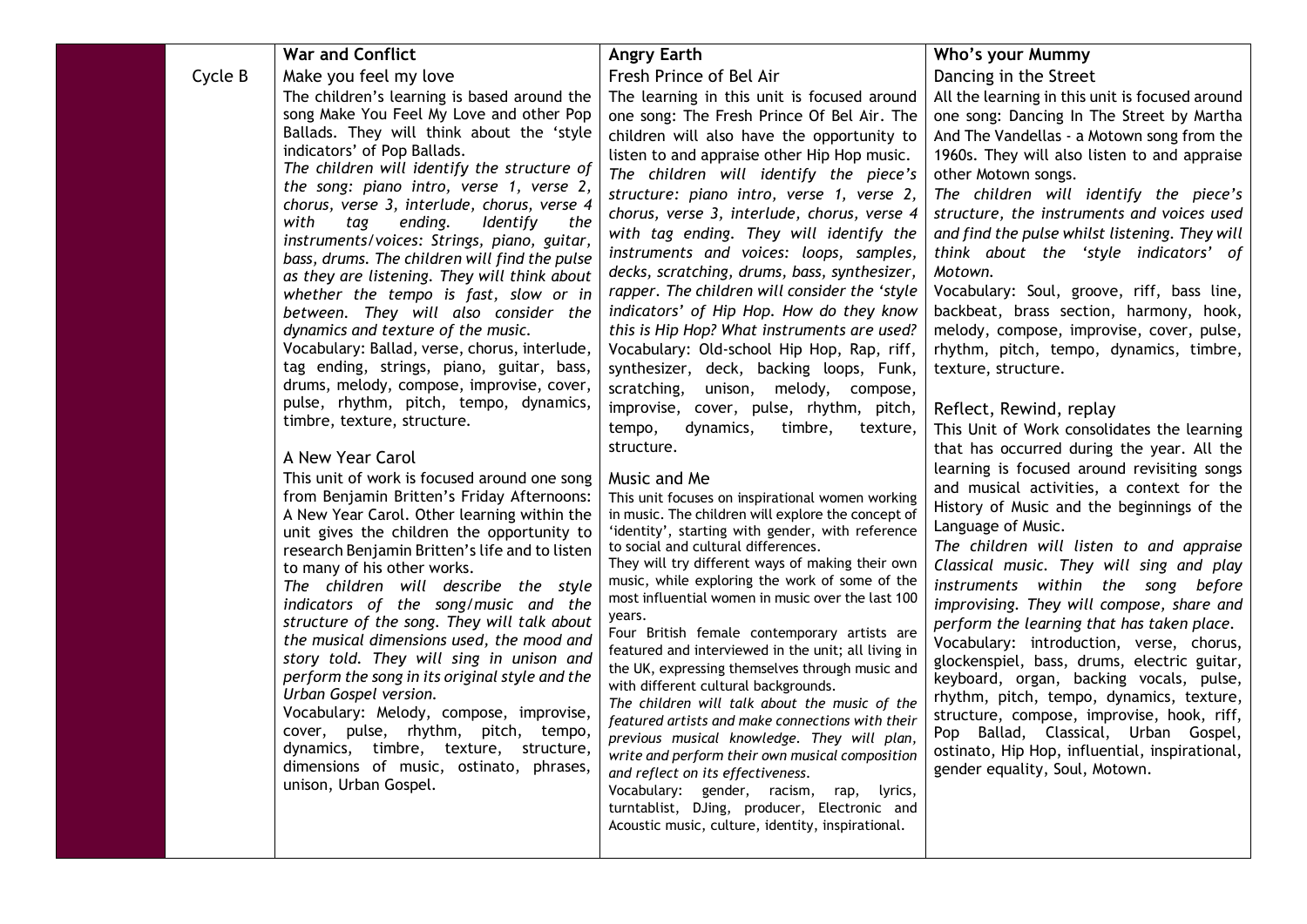|         | <b>War and Conflict</b>                                                                    | <b>Angry Earth</b>                                                                                     | Who's your Mummy                                                                     |
|---------|--------------------------------------------------------------------------------------------|--------------------------------------------------------------------------------------------------------|--------------------------------------------------------------------------------------|
| Cycle B | Make you feel my love                                                                      | Fresh Prince of Bel Air                                                                                | Dancing in the Street                                                                |
|         | The children's learning is based around the                                                | The learning in this unit is focused around                                                            | All the learning in this unit is focused around                                      |
|         | song Make You Feel My Love and other Pop                                                   | one song: The Fresh Prince Of Bel Air. The                                                             | one song: Dancing In The Street by Martha                                            |
|         | Ballads. They will think about the 'style                                                  | children will also have the opportunity to                                                             | And The Vandellas - a Motown song from the                                           |
|         | indicators' of Pop Ballads.                                                                | listen to and appraise other Hip Hop music.                                                            | 1960s. They will also listen to and appraise                                         |
|         | The children will identify the structure of<br>the song: piano intro, verse 1, verse 2,    | The children will identify the piece's                                                                 | other Motown songs.                                                                  |
|         | chorus, verse 3, interlude, chorus, verse 4                                                | structure: piano intro, verse 1, verse 2,                                                              | The children will identify the piece's                                               |
|         | with<br><b>Identify</b><br>tag<br>ending.<br>the                                           | chorus, verse 3, interlude, chorus, verse 4                                                            | structure, the instruments and voices used                                           |
|         | instruments/voices: Strings, piano, guitar,                                                | with tag ending. They will identify the                                                                | and find the pulse whilst listening. They will                                       |
|         | bass, drums. The children will find the pulse                                              | instruments and voices: loops, samples,                                                                | think about the 'style indicators' of                                                |
|         | as they are listening. They will think about                                               | decks, scratching, drums, bass, synthesizer,                                                           | Motown.                                                                              |
|         | whether the tempo is fast, slow or in                                                      | rapper. The children will consider the 'style                                                          | Vocabulary: Soul, groove, riff, bass line,                                           |
|         | between. They will also consider the<br>dynamics and texture of the music.                 | indicators' of Hip Hop. How do they know<br>this is Hip Hop? What instruments are used?                | backbeat, brass section, harmony, hook,<br>melody, compose, improvise, cover, pulse, |
|         | Vocabulary: Ballad, verse, chorus, interlude,                                              | Vocabulary: Old-school Hip Hop, Rap, riff,                                                             | rhythm, pitch, tempo, dynamics, timbre,                                              |
|         | tag ending, strings, piano, guitar, bass,                                                  | synthesizer, deck, backing loops, Funk,                                                                | texture, structure.                                                                  |
|         | drums, melody, compose, improvise, cover,                                                  | scratching,<br>unison, melody, compose,                                                                |                                                                                      |
|         | pulse, rhythm, pitch, tempo, dynamics,                                                     | improvise, cover, pulse, rhythm, pitch,                                                                | Reflect, Rewind, replay                                                              |
|         | timbre, texture, structure.                                                                | dynamics,<br>timbre,<br>tempo,<br>texture,                                                             | This Unit of Work consolidates the learning                                          |
|         |                                                                                            | structure.                                                                                             | that has occurred during the year. All the                                           |
|         | A New Year Carol                                                                           |                                                                                                        | learning is focused around revisiting songs                                          |
|         | This unit of work is focused around one song                                               | Music and Me                                                                                           | and musical activities, a context for the                                            |
|         | from Benjamin Britten's Friday Afternoons:<br>A New Year Carol. Other learning within the  | This unit focuses on inspirational women working<br>in music. The children will explore the concept of | History of Music and the beginnings of the                                           |
|         | unit gives the children the opportunity to                                                 | 'identity', starting with gender, with reference                                                       | Language of Music.                                                                   |
|         | research Benjamin Britten's life and to listen                                             | to social and cultural differences.                                                                    | The children will listen to and appraise                                             |
|         | to many of his other works.                                                                | They will try different ways of making their own                                                       | Classical music. They will sing and play                                             |
|         | The children will describe the style                                                       | music, while exploring the work of some of the                                                         | instruments within the song before                                                   |
|         | indicators of the song/music and the                                                       | most influential women in music over the last 100<br>years.                                            | improvising. They will compose, share and                                            |
|         | structure of the song. They will talk about                                                | Four British female contemporary artists are                                                           | perform the learning that has taken place.                                           |
|         | the musical dimensions used, the mood and                                                  | featured and interviewed in the unit; all living in                                                    | Vocabulary: introduction, verse, chorus,                                             |
|         | story told. They will sing in unison and<br>perform the song in its original style and the | the UK, expressing themselves through music and                                                        | glockenspiel, bass, drums, electric guitar,                                          |
|         | Urban Gospel version.                                                                      | with different cultural backgrounds.                                                                   | keyboard, organ, backing vocals, pulse,<br>rhythm, pitch, tempo, dynamics, texture,  |
|         | Vocabulary: Melody, compose, improvise,                                                    | The children will talk about the music of the                                                          | structure, compose, improvise, hook, riff,                                           |
|         | cover, pulse, rhythm, pitch, tempo,                                                        | featured artists and make connections with their<br>previous musical knowledge. They will plan,        | Pop Ballad, Classical, Urban Gospel,                                                 |
|         | dynamics, timbre, texture, structure,                                                      | write and perform their own musical composition                                                        | ostinato, Hip Hop, influential, inspirational,                                       |
|         | dimensions of music, ostinato, phrases,                                                    | and reflect on its effectiveness.                                                                      | gender equality, Soul, Motown.                                                       |
|         | unison, Urban Gospel.                                                                      | Vocabulary: gender, racism, rap, lyrics,                                                               |                                                                                      |
|         |                                                                                            | turntablist, DJing, producer, Electronic and                                                           |                                                                                      |
|         |                                                                                            | Acoustic music, culture, identity, inspirational.                                                      |                                                                                      |
|         |                                                                                            |                                                                                                        |                                                                                      |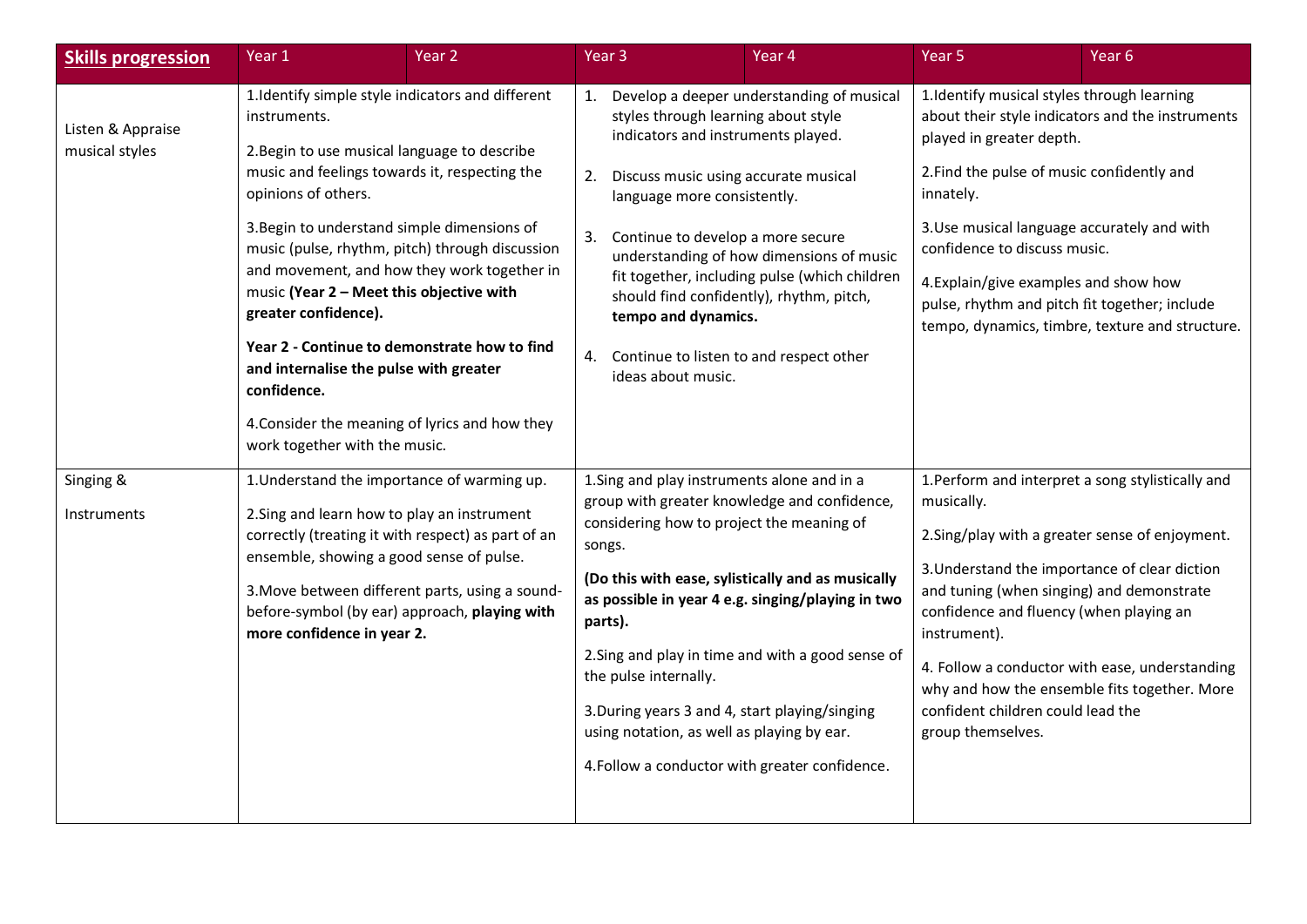| <b>Skills progression</b>           | Year <sub>1</sub>                                                                                                                                                                                                                                                                                                                                                                                                                                      | Year 2                                                                                                                                                 |                | Year 3                                                                                                                                                                                                                                                                                                                       | Year 4                                                                                                                                                                                                                                                        | Year <sub>5</sub>                                                                                                                                                                                                                                                                                                                                                                                                                       | Year 6                                          |
|-------------------------------------|--------------------------------------------------------------------------------------------------------------------------------------------------------------------------------------------------------------------------------------------------------------------------------------------------------------------------------------------------------------------------------------------------------------------------------------------------------|--------------------------------------------------------------------------------------------------------------------------------------------------------|----------------|------------------------------------------------------------------------------------------------------------------------------------------------------------------------------------------------------------------------------------------------------------------------------------------------------------------------------|---------------------------------------------------------------------------------------------------------------------------------------------------------------------------------------------------------------------------------------------------------------|-----------------------------------------------------------------------------------------------------------------------------------------------------------------------------------------------------------------------------------------------------------------------------------------------------------------------------------------------------------------------------------------------------------------------------------------|-------------------------------------------------|
| Listen & Appraise<br>musical styles | 1. Identify simple style indicators and different<br>instruments.<br>2. Begin to use musical language to describe<br>music and feelings towards it, respecting the<br>opinions of others.<br>3. Begin to understand simple dimensions of<br>music (Year 2 - Meet this objective with<br>greater confidence).<br>Year 2 - Continue to demonstrate how to find<br>and internalise the pulse with greater<br>confidence.<br>work together with the music. | music (pulse, rhythm, pitch) through discussion<br>and movement, and how they work together in<br>4. Consider the meaning of lyrics and how they       | 1.<br>2.<br>4. | styles through learning about style<br>indicators and instruments played.<br>Discuss music using accurate musical<br>language more consistently.<br>3. Continue to develop a more secure<br>should find confidently), rhythm, pitch,<br>tempo and dynamics.<br>Continue to listen to and respect other<br>ideas about music. | Develop a deeper understanding of musical<br>understanding of how dimensions of music<br>fit together, including pulse (which children                                                                                                                        | 1. Identify musical styles through learning<br>about their style indicators and the instruments<br>played in greater depth.<br>2. Find the pulse of music confidently and<br>innately.<br>3. Use musical language accurately and with<br>confidence to discuss music.<br>4. Explain/give examples and show how<br>pulse, rhythm and pitch fit together; include                                                                         | tempo, dynamics, timbre, texture and structure. |
| Singing &<br>Instruments            | 1. Understand the importance of warming up.<br>2. Sing and learn how to play an instrument<br>ensemble, showing a good sense of pulse.<br>more confidence in year 2.                                                                                                                                                                                                                                                                                   | correctly (treating it with respect) as part of an<br>3. Move between different parts, using a sound-<br>before-symbol (by ear) approach, playing with | songs.         | 1. Sing and play instruments alone and in a<br>considering how to project the meaning of<br>parts).<br>the pulse internally.<br>3. During years 3 and 4, start playing/singing<br>using notation, as well as playing by ear.                                                                                                 | group with greater knowledge and confidence,<br>(Do this with ease, sylistically and as musically<br>as possible in year 4 e.g. singing/playing in two<br>2. Sing and play in time and with a good sense of<br>4. Follow a conductor with greater confidence. | 1. Perform and interpret a song stylistically and<br>musically.<br>2. Sing/play with a greater sense of enjoyment.<br>3. Understand the importance of clear diction<br>and tuning (when singing) and demonstrate<br>confidence and fluency (when playing an<br>instrument).<br>4. Follow a conductor with ease, understanding<br>why and how the ensemble fits together. More<br>confident children could lead the<br>group themselves. |                                                 |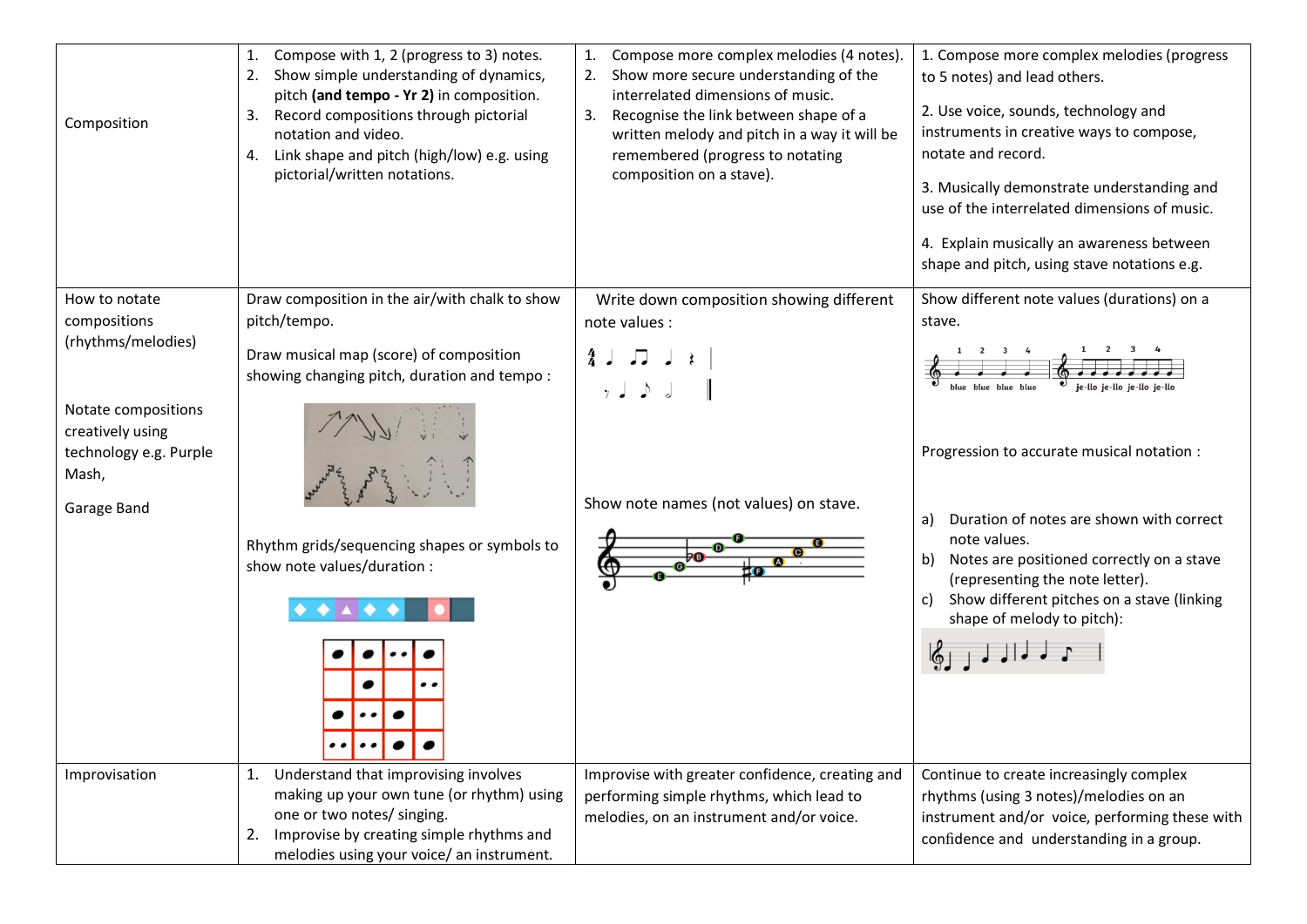|                        | Compose with 1, 2 (progress to 3) notes.<br>1.<br>Show simple understanding of dynamics,<br>2.<br>pitch (and tempo - Yr 2) in composition. | Compose more complex melodies (4 notes).<br>Show more secure understanding of the<br>2.<br>interrelated dimensions of music. | 1. Compose more complex melodies (progress<br>to 5 notes) and lead others.                 |
|------------------------|--------------------------------------------------------------------------------------------------------------------------------------------|------------------------------------------------------------------------------------------------------------------------------|--------------------------------------------------------------------------------------------|
| Composition            | Record compositions through pictorial<br>3.                                                                                                | Recognise the link between shape of a<br>3.                                                                                  | 2. Use voice, sounds, technology and                                                       |
|                        | notation and video.                                                                                                                        | written melody and pitch in a way it will be                                                                                 | instruments in creative ways to compose,                                                   |
|                        | Link shape and pitch (high/low) e.g. using<br>4.                                                                                           | remembered (progress to notating                                                                                             | notate and record.                                                                         |
|                        | pictorial/written notations.                                                                                                               | composition on a stave).                                                                                                     | 3. Musically demonstrate understanding and<br>use of the interrelated dimensions of music. |
|                        |                                                                                                                                            |                                                                                                                              | 4. Explain musically an awareness between                                                  |
|                        |                                                                                                                                            |                                                                                                                              | shape and pitch, using stave notations e.g.                                                |
| How to notate          | Draw composition in the air/with chalk to show                                                                                             | Write down composition showing different                                                                                     | Show different note values (durations) on a                                                |
| compositions           | pitch/tempo.                                                                                                                               | note values :                                                                                                                | stave.                                                                                     |
| (rhythms/melodies)     | Draw musical map (score) of composition                                                                                                    | $4 \cup 7 \cup$                                                                                                              |                                                                                            |
|                        | showing changing pitch, duration and tempo:                                                                                                | $\gamma$ $\downarrow$ $\downarrow$ $\downarrow$                                                                              |                                                                                            |
| Notate compositions    |                                                                                                                                            |                                                                                                                              |                                                                                            |
| creatively using       |                                                                                                                                            |                                                                                                                              |                                                                                            |
| technology e.g. Purple |                                                                                                                                            |                                                                                                                              | Progression to accurate musical notation :                                                 |
| Mash,                  |                                                                                                                                            |                                                                                                                              |                                                                                            |
| Garage Band            |                                                                                                                                            | Show note names (not values) on stave.                                                                                       | Duration of notes are shown with correct<br>a)                                             |
|                        | Rhythm grids/sequencing shapes or symbols to                                                                                               |                                                                                                                              | note values.                                                                               |
|                        | show note values/duration :                                                                                                                |                                                                                                                              | Notes are positioned correctly on a stave<br>b)<br>(representing the note letter).         |
|                        |                                                                                                                                            |                                                                                                                              | Show different pitches on a stave (linking<br>C)<br>shape of melody to pitch):             |
|                        |                                                                                                                                            |                                                                                                                              |                                                                                            |
|                        |                                                                                                                                            |                                                                                                                              |                                                                                            |
|                        | . . <u>.</u> 1<br>$\bullet$                                                                                                                |                                                                                                                              |                                                                                            |
| Improvisation          | Understand that improvising involves<br>1.                                                                                                 | Improvise with greater confidence, creating and                                                                              | Continue to create increasingly complex                                                    |
|                        | making up your own tune (or rhythm) using                                                                                                  | performing simple rhythms, which lead to                                                                                     | rhythms (using 3 notes)/melodies on an                                                     |
|                        | one or two notes/ singing.                                                                                                                 | melodies, on an instrument and/or voice.                                                                                     | instrument and/or voice, performing these with                                             |
|                        | Improvise by creating simple rhythms and<br>2.                                                                                             |                                                                                                                              | confidence and understanding in a group.                                                   |
|                        | melodies using your voice/ an instrument.                                                                                                  |                                                                                                                              |                                                                                            |